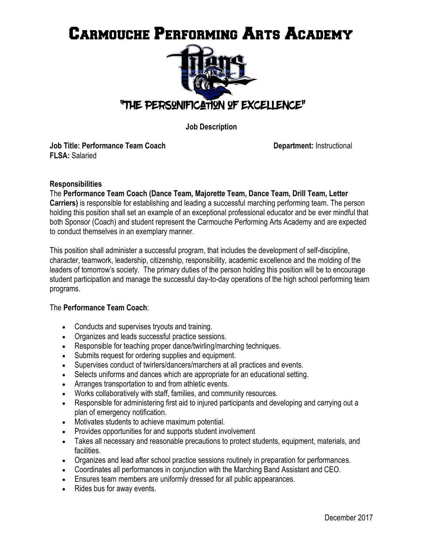# Carmouche Performing Arts Academy



**Job Description** 

**Job Title: Performance Team Coach Department: Instructional Department: Instructional FLSA:** Salaried

#### **Responsibilities**

The **Performance Team Coach (Dance Team, Majorette Team, Dance Team, Drill Team, Letter Carriers)** is responsible for establishing and leading a successful marching performing team. The person holding this position shall set an example of an exceptional professional educator and be ever mindful that both Sponsor (Coach) and student represent the Carmouche Performing Arts Academy and are expected to conduct themselves in an exemplary manner.

This position shall administer a successful program, that includes the development of self-discipline, character, teamwork, leadership, citizenship, responsibility, academic excellence and the molding of the leaders of tomorrow's society. The primary duties of the person holding this position will be to encourage student participation and manage the successful day-to-day operations of the high school performing team programs.

### The **Performance Team Coach**:

- Conducts and supervises tryouts and training.
- Organizes and leads successful practice sessions.
- Responsible for teaching proper dance/twirling/marching techniques.
- Submits request for ordering supplies and equipment.
- Supervises conduct of twirlers/dancers/marchers at all practices and events.
- Selects uniforms and dances which are appropriate for an educational setting.
- Arranges transportation to and from athletic events.
- Works collaboratively with staff, families, and community resources.
- Responsible for administering first aid to injured participants and developing and carrying out a plan of emergency notification.
- Motivates students to achieve maximum potential.
- Provides opportunities for and supports student involvement
- Takes all necessary and reasonable precautions to protect students, equipment, materials, and facilities.
- Organizes and lead after school practice sessions routinely in preparation for performances.
- Coordinates all performances in conjunction with the Marching Band Assistant and CEO.
- Ensures team members are uniformly dressed for all public appearances.
- Rides bus for away events.